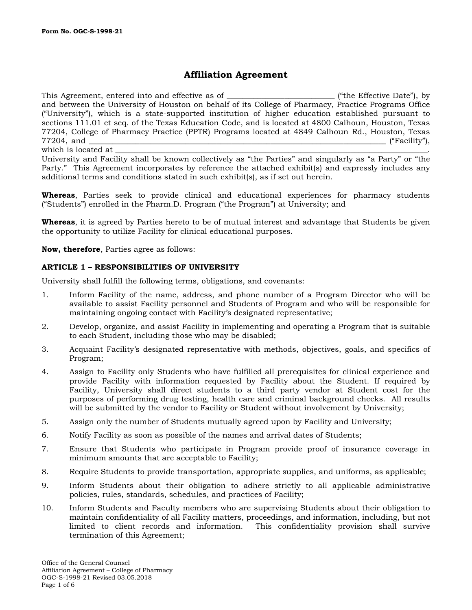# **Affiliation Agreement**

This Agreement, entered into and effective as of  $\Box$  ("the Effective Date"), by and between the University of Houston on behalf of its College of Pharmacy, Practice Programs Office ("University"), which is a state-supported institution of higher education established pursuant to sections 111.01 et seq. of the Texas Education Code, and is located at 4800 Calhoun, Houston, Texas 77204, College of Pharmacy Practice (PPTR) Programs located at 4849 Calhoun Rd., Houston, Texas 77204, and \_\_\_\_\_\_\_\_\_\_\_\_\_\_\_\_\_\_\_\_\_\_\_\_\_\_\_\_\_\_\_\_\_\_\_\_\_\_\_\_\_\_\_\_\_\_\_\_\_\_\_\_\_\_\_\_\_\_\_\_\_\_\_\_\_\_\_\_\_\_\_\_\_\_\_\_\_ ("Facility"), which is located at

University and Facility shall be known collectively as "the Parties" and singularly as "a Party" or "the Party." This Agreement incorporates by reference the attached exhibit(s) and expressly includes any additional terms and conditions stated in such exhibit(s), as if set out herein.

**Whereas**, Parties seek to provide clinical and educational experiences for pharmacy students ("Students") enrolled in the Pharm.D. Program ("the Program") at University; and

**Whereas**, it is agreed by Parties hereto to be of mutual interest and advantage that Students be given the opportunity to utilize Facility for clinical educational purposes.

**Now, therefore**, Parties agree as follows:

### **ARTICLE 1 – RESPONSIBILITIES OF UNIVERSITY**

University shall fulfill the following terms, obligations, and covenants:

- 1. Inform Facility of the name, address, and phone number of a Program Director who will be available to assist Facility personnel and Students of Program and who will be responsible for maintaining ongoing contact with Facility's designated representative;
- 2. Develop, organize, and assist Facility in implementing and operating a Program that is suitable to each Student, including those who may be disabled;
- 3. Acquaint Facility's designated representative with methods, objectives, goals, and specifics of Program;
- 4. Assign to Facility only Students who have fulfilled all prerequisites for clinical experience and provide Facility with information requested by Facility about the Student. If required by Facility, University shall direct students to a third party vendor at Student cost for the purposes of performing drug testing, health care and criminal background checks. All results will be submitted by the vendor to Facility or Student without involvement by University;
- 5. Assign only the number of Students mutually agreed upon by Facility and University;
- 6. Notify Facility as soon as possible of the names and arrival dates of Students;
- 7. Ensure that Students who participate in Program provide proof of insurance coverage in minimum amounts that are acceptable to Facility;
- 8. Require Students to provide transportation, appropriate supplies, and uniforms, as applicable;
- 9. Inform Students about their obligation to adhere strictly to all applicable administrative policies, rules, standards, schedules, and practices of Facility;
- 10. Inform Students and Faculty members who are supervising Students about their obligation to maintain confidentiality of all Facility matters, proceedings, and information, including, but not limited to client records and information. This confidentiality provision shall survive termination of this Agreement;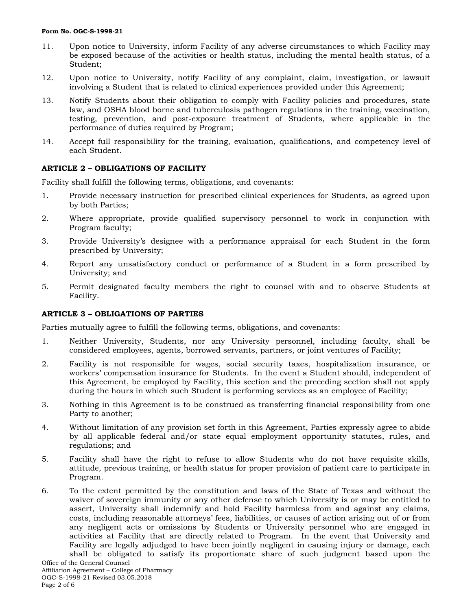### **Form No. OGC-S-1998-21**

- 11. Upon notice to University, inform Facility of any adverse circumstances to which Facility may be exposed because of the activities or health status, including the mental health status, of a Student;
- 12. Upon notice to University, notify Facility of any complaint, claim, investigation, or lawsuit involving a Student that is related to clinical experiences provided under this Agreement;
- 13. Notify Students about their obligation to comply with Facility policies and procedures, state law, and OSHA blood borne and tuberculosis pathogen regulations in the training, vaccination, testing, prevention, and post-exposure treatment of Students, where applicable in the performance of duties required by Program;
- 14. Accept full responsibility for the training, evaluation, qualifications, and competency level of each Student.

### **ARTICLE 2 – OBLIGATIONS OF FACILITY**

Facility shall fulfill the following terms, obligations, and covenants:

- 1. Provide necessary instruction for prescribed clinical experiences for Students, as agreed upon by both Parties;
- 2. Where appropriate, provide qualified supervisory personnel to work in conjunction with Program faculty;
- 3. Provide University's designee with a performance appraisal for each Student in the form prescribed by University;
- 4. Report any unsatisfactory conduct or performance of a Student in a form prescribed by University; and
- 5. Permit designated faculty members the right to counsel with and to observe Students at Facility.

### **ARTICLE 3 – OBLIGATIONS OF PARTIES**

Parties mutually agree to fulfill the following terms, obligations, and covenants:

- 1. Neither University, Students, nor any University personnel, including faculty, shall be considered employees, agents, borrowed servants, partners, or joint ventures of Facility;
- 2. Facility is not responsible for wages, social security taxes, hospitalization insurance, or workers' compensation insurance for Students. In the event a Student should, independent of this Agreement, be employed by Facility, this section and the preceding section shall not apply during the hours in which such Student is performing services as an employee of Facility;
- 3. Nothing in this Agreement is to be construed as transferring financial responsibility from one Party to another;
- 4. Without limitation of any provision set forth in this Agreement, Parties expressly agree to abide by all applicable federal and/or state equal employment opportunity statutes, rules, and regulations; and
- 5. Facility shall have the right to refuse to allow Students who do not have requisite skills, attitude, previous training, or health status for proper provision of patient care to participate in Program.
- 6. To the extent permitted by the constitution and laws of the State of Texas and without the waiver of sovereign immunity or any other defense to which University is or may be entitled to assert, University shall indemnify and hold Facility harmless from and against any claims, costs, including reasonable attorneys' fees, liabilities, or causes of action arising out of or from any negligent acts or omissions by Students or University personnel who are engaged in activities at Facility that are directly related to Program. In the event that University and Facility are legally adjudged to have been jointly negligent in causing injury or damage, each shall be obligated to satisfy its proportionate share of such judgment based upon the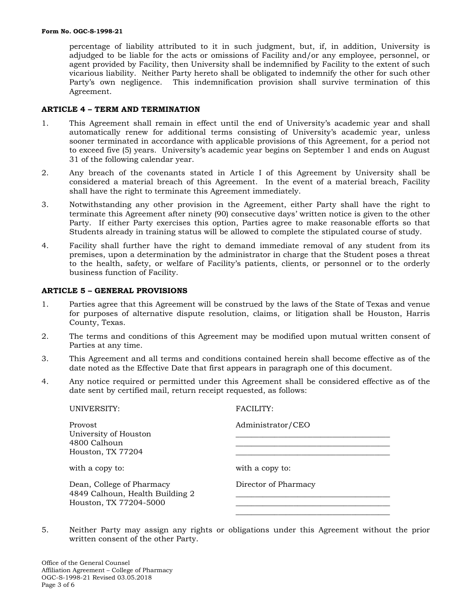percentage of liability attributed to it in such judgment, but, if, in addition, University is adjudged to be liable for the acts or omissions of Facility and/or any employee, personnel, or agent provided by Facility, then University shall be indemnified by Facility to the extent of such vicarious liability. Neither Party hereto shall be obligated to indemnify the other for such other Party's own negligence. This indemnification provision shall survive termination of this Agreement.

### **ARTICLE 4 – TERM AND TERMINATION**

- 1. This Agreement shall remain in effect until the end of University's academic year and shall automatically renew for additional terms consisting of University's academic year, unless sooner terminated in accordance with applicable provisions of this Agreement, for a period not to exceed five (5) years. University's academic year begins on September 1 and ends on August 31 of the following calendar year.
- 2. Any breach of the covenants stated in Article I of this Agreement by University shall be considered a material breach of this Agreement. In the event of a material breach, Facility shall have the right to terminate this Agreement immediately.
- 3. Notwithstanding any other provision in the Agreement, either Party shall have the right to terminate this Agreement after ninety (90) consecutive days' written notice is given to the other Party. If either Party exercises this option, Parties agree to make reasonable efforts so that Students already in training status will be allowed to complete the stipulated course of study.
- 4. Facility shall further have the right to demand immediate removal of any student from its premises, upon a determination by the administrator in charge that the Student poses a threat to the health, safety, or welfare of Facility's patients, clients, or personnel or to the orderly business function of Facility.

### **ARTICLE 5 – GENERAL PROVISIONS**

- 1. Parties agree that this Agreement will be construed by the laws of the State of Texas and venue for purposes of alternative dispute resolution, claims, or litigation shall be Houston, Harris County, Texas.
- 2. The terms and conditions of this Agreement may be modified upon mutual written consent of Parties at any time.
- 3. This Agreement and all terms and conditions contained herein shall become effective as of the date noted as the Effective Date that first appears in paragraph one of this document.
- 4. Any notice required or permitted under this Agreement shall be considered effective as of the date sent by certified mail, return receipt requested, as follows:

| UNIVERSITY:                                                                            | <b>FACILITY:</b>     |
|----------------------------------------------------------------------------------------|----------------------|
| Provost<br>University of Houston<br>4800 Calhoun<br>Houston, TX 77204                  | Administrator/CEO    |
| with a copy to:                                                                        | with a copy to:      |
| Dean, College of Pharmacy<br>4849 Calhoun, Health Building 2<br>Houston, TX 77204-5000 | Director of Pharmacy |
|                                                                                        |                      |

5. Neither Party may assign any rights or obligations under this Agreement without the prior written consent of the other Party.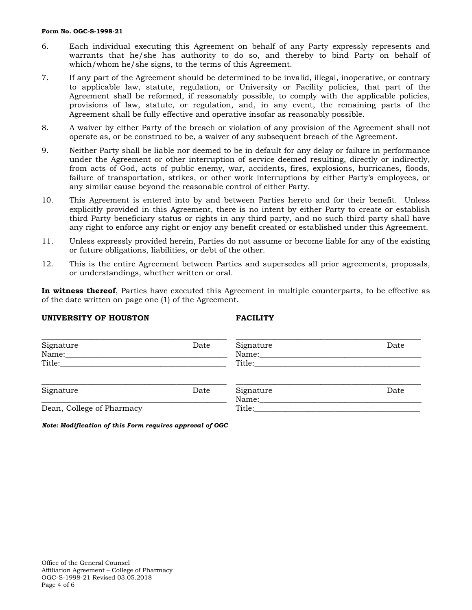### **Form No. OGC-S-1998-21**

- 6. Each individual executing this Agreement on behalf of any Party expressly represents and warrants that he/she has authority to do so, and thereby to bind Party on behalf of which/whom he/she signs, to the terms of this Agreement.
- 7. If any part of the Agreement should be determined to be invalid, illegal, inoperative, or contrary to applicable law, statute, regulation, or University or Facility policies, that part of the Agreement shall be reformed, if reasonably possible, to comply with the applicable policies, provisions of law, statute, or regulation, and, in any event, the remaining parts of the Agreement shall be fully effective and operative insofar as reasonably possible.
- 8. A waiver by either Party of the breach or violation of any provision of the Agreement shall not operate as, or be construed to be, a waiver of any subsequent breach of the Agreement.
- 9. Neither Party shall be liable nor deemed to be in default for any delay or failure in performance under the Agreement or other interruption of service deemed resulting, directly or indirectly, from acts of God, acts of public enemy, war, accidents, fires, explosions, hurricanes, floods, failure of transportation, strikes, or other work interruptions by either Party's employees, or any similar cause beyond the reasonable control of either Party.
- 10. This Agreement is entered into by and between Parties hereto and for their benefit. Unless explicitly provided in this Agreement, there is no intent by either Party to create or establish third Party beneficiary status or rights in any third party, and no such third party shall have any right to enforce any right or enjoy any benefit created or established under this Agreement.
- 11. Unless expressly provided herein, Parties do not assume or become liable for any of the existing or future obligations, liabilities, or debt of the other.
- 12. This is the entire Agreement between Parties and supersedes all prior agreements, proposals, or understandings, whether written or oral.

**In witness thereof**, Parties have executed this Agreement in multiple counterparts, to be effective as of the date written on page one (1) of the Agreement.

### **UNIVERSITY OF HOUSTON FACILITY**

| Signature<br>Name:        | Date | Signature<br>Name: | Date |
|---------------------------|------|--------------------|------|
|                           |      | Title:             |      |
| Signature                 | Date | Signature<br>Name: | Date |
| Dean, College of Pharmacy |      | Title:             |      |

*Note: Modification of this Form requires approval of OGC*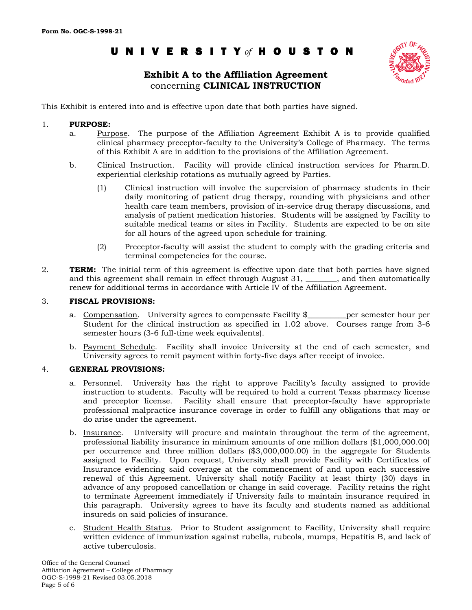# UNIVERSIT Y *of* HOUSTON

# **Exhibit A to the Affiliation Agreement** concerning **CLINICAL INSTRUCTION**



This Exhibit is entered into and is effective upon date that both parties have signed.

### 1. **PURPOSE:**

- a. Purpose. The purpose of the Affiliation Agreement Exhibit A is to provide qualified clinical pharmacy preceptor-faculty to the University's College of Pharmacy. The terms of this Exhibit A are in addition to the provisions of the Affiliation Agreement.
- b. Clinical Instruction. Facility will provide clinical instruction services for Pharm.D. experiential clerkship rotations as mutually agreed by Parties.
	- (1) Clinical instruction will involve the supervision of pharmacy students in their daily monitoring of patient drug therapy, rounding with physicians and other health care team members, provision of in-service drug therapy discussions, and analysis of patient medication histories. Students will be assigned by Facility to suitable medical teams or sites in Facility. Students are expected to be on site for all hours of the agreed upon schedule for training.
	- (2) Preceptor-faculty will assist the student to comply with the grading criteria and terminal competencies for the course.
- 2. **TERM:** The initial term of this agreement is effective upon date that both parties have signed and this agreement shall remain in effect through August 31, \_\_\_\_\_\_\_\_, and then automatically renew for additional terms in accordance with Article IV of the Affiliation Agreement.

### 3. **FISCAL PROVISIONS:**

- a. Compensation. University agrees to compensate Facility \$ per semester hour per Student for the clinical instruction as specified in 1.02 above. Courses range from 3-6 semester hours (3-6 full-time week equivalents).
- b. Payment Schedule. Facility shall invoice University at the end of each semester, and University agrees to remit payment within forty-five days after receipt of invoice.

### 4. **GENERAL PROVISIONS:**

- a. Personnel. University has the right to approve Facility's faculty assigned to provide instruction to students. Faculty will be required to hold a current Texas pharmacy license and preceptor license. Facility shall ensure that preceptor-faculty have appropriate professional malpractice insurance coverage in order to fulfill any obligations that may or do arise under the agreement.
- b. Insurance. University will procure and maintain throughout the term of the agreement, professional liability insurance in minimum amounts of one million dollars (\$1,000,000.00) per occurrence and three million dollars (\$3,000,000.00) in the aggregate for Students assigned to Facility. Upon request, University shall provide Facility with Certificates of Insurance evidencing said coverage at the commencement of and upon each successive renewal of this Agreement. University shall notify Facility at least thirty (30) days in advance of any proposed cancellation or change in said coverage. Facility retains the right to terminate Agreement immediately if University fails to maintain insurance required in this paragraph. University agrees to have its faculty and students named as additional insureds on said policies of insurance.
- c. Student Health Status. Prior to Student assignment to Facility, University shall require written evidence of immunization against rubella, rubeola, mumps, Hepatitis B, and lack of active tuberculosis.